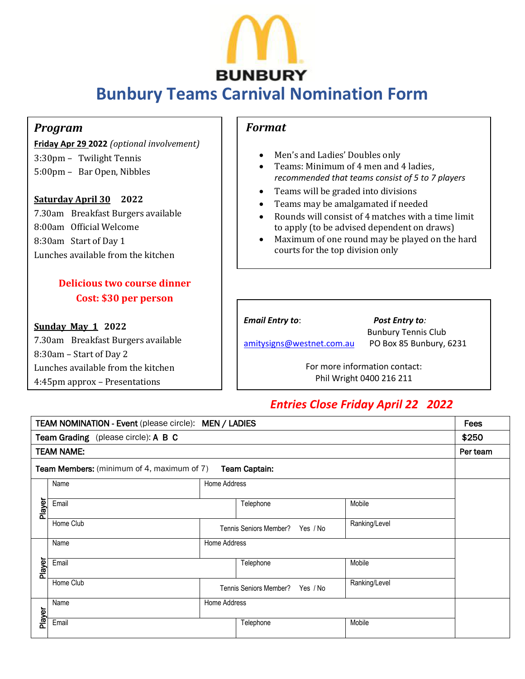

# **Bunbury Teams Carnival Nomination Form**  $\overline{a}$

#### *Program*

**Friday Apr 29 2022** *(optional involvement)*  3:30pm – Twilight Tennis 5:00pm – Bar Open, Nibbles

**Saturday April 30 2022** 7.30am Breakfast Burgers available 8:00am Official Welcome 8:30am Start of Day 1 Lunches available from the kitchen

### **Delicious two course dinner Cost: \$30 per person**

#### **Sunday May 1 2022**

7.30am Breakfast Burgers available 8:30am – Start of Day 2 Lunches available from the kitchen 4:45pm approx – Presentations

#### *Format*

- Men's and Ladies' Doubles only
- Teams: Minimum of 4 men and 4 ladies, *recommended that teams consist of 5 to 7 players*
- Teams will be graded into divisions
- Teams may be amalgamated if needed
- Rounds will consist of 4 matches with a time limit to apply (to be advised dependent on draws)
- Maximum of one round may be played on the hard courts for the top division only

*Email Entry to*: *Post Entry to:*

Bunbury Tennis Club [amitysigns@westnet.com.au](mailto:amitysigns@westnet.com.au) PO Box 85 Bunbury, 6231

> For more information contact: Phil Wright 0400 216 211

## *Entries Close Friday April 22 2022*

| <b>TEAM NOMINATION - Event (please circle): MEN / LADIES</b>              |           |                                                  |           |               |  |  |  |
|---------------------------------------------------------------------------|-----------|--------------------------------------------------|-----------|---------------|--|--|--|
| Team Grading (please circle): A B C                                       |           |                                                  |           |               |  |  |  |
| <b>TEAM NAME:</b>                                                         |           |                                                  |           |               |  |  |  |
| <b>Team Captain:</b><br><b>Team Members:</b> (minimum of 4, maximum of 7) |           |                                                  |           |               |  |  |  |
|                                                                           | Name      | Home Address                                     |           |               |  |  |  |
| Player                                                                    | Email     |                                                  | Telephone | Mobile        |  |  |  |
|                                                                           | Home Club | Ranking/Level<br>Tennis Seniors Member? Yes / No |           |               |  |  |  |
| Player                                                                    | Name      | Home Address                                     |           |               |  |  |  |
|                                                                           | Email     |                                                  |           | Mobile        |  |  |  |
|                                                                           | Home Club | Tennis Seniors Member? Yes / No                  |           | Ranking/Level |  |  |  |
|                                                                           | Name      | Home Address                                     |           |               |  |  |  |
| Player                                                                    | Email     |                                                  | Telephone | Mobile        |  |  |  |